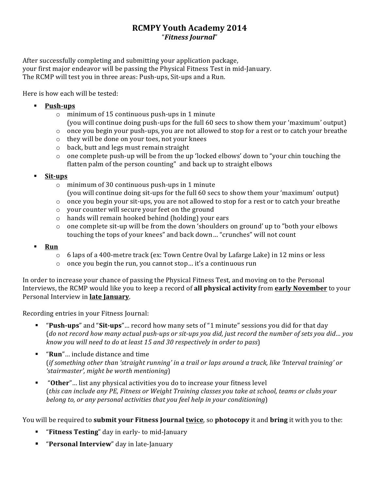## **RCMPY Youth Academy 2014** "*Fitness'Journal*"

After successfully completing and submitting your application package, your first major endeavor will be passing the Physical Fitness Test in mid-January. The RCMP will test you in three areas: Push-ups, Sit-ups and a Run.

Here is how each will be tested:

- **Push-ups** 
	- $\circ$  minimum of 15 continuous push-ups in 1 minute (you will continue doing push-ups for the full 60 secs to show them your 'maximum' output)
	- $\circ$  once you begin your push-ups, you are not allowed to stop for a rest or to catch your breathe
	- $\circ$  they will be done on your toes, not your knees
	- $\circ$  back, butt and legs must remain straight
	- $\circ$  one complete push-up will be from the up 'locked elbows' down to "your chin touching the flatten palm of the person counting" and back up to straight elbows
- ! **Sit7ups**
	- $\circ$  minimum of 30 continuous push-ups in 1 minute (you will continue doing sit-ups for the full 60 secs to show them your 'maximum' output)
	- $\circ$  once you begin your sit-ups, you are not allowed to stop for a rest or to catch your breathe
	- $\circ$  your counter will secure your feet on the ground
	- $\circ$  hands will remain hooked behind (holding) your ears
	- $\circ$  one complete sit-up will be from the down 'shoulders on ground' up to "both your elbows" touching the tops of your knees" and back down... "crunches" will not count
- ! **Run**
	- o 6 laps of a 400-metre track (ex: Town Centre Oval by Lafarge Lake) in 12 mins or less
	- $\circ$  once you begin the run, you cannot stop... it's a continuous run

In order to increase your chance of passing the Physical Fitness Test, and moving on to the Personal Interviews, the RCMP would like you to keep a record of **all physical activity** from **early November** to your Personal Interview in **late January**.

Recording entries in your Fitness Journal:

- "**Push-ups**" and "Sit-ups"... record how many sets of "1 minute" sessions you did for that day (do not record how many actual push-ups or sit-ups you did, just record the number of sets you did... you *know you will need to do at least 15 and 30 respectively in order to pass)*
- "**Run**"... include distance and time (*if something other than 'straight running' in a trail or laps around a track, like 'Interval training' or* 'stairmaster', might be worth mentioning)
- **. "Other**"... list any physical activities you do to increase your fitness level (*this can include any PE, Fitness or Weight Training classes you take at school, teams or clubs your belong to, or any personal activities that you feel help in your conditioning*)

You will be required to **submit your Fitness Journal twice**, so **photocopy** it and **bring** it with you to the:

- **"** "Fitness Testing" day in early- to mid-January
- **E** "Personal Interview" day in late-January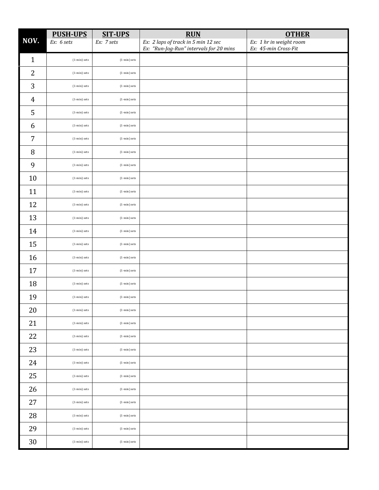|                | <b>PUSH-UPS</b>  | <b>SIT-UPS</b>   | <b>RUN</b>                                                                     | <b>OTHER</b>                                    |
|----------------|------------------|------------------|--------------------------------------------------------------------------------|-------------------------------------------------|
| NOV.           | Ex: 6 sets       | Ex: 7 sets       | Ex: 2 laps of track in 5 min 12 sec<br>Ex: "Run-Jog-Run" intervals for 20 mins | Ex: 1 hr in weight room<br>Ex: 45-min Cross-Fit |
| $\mathbf{1}$   | (1-min) sets     | $(1 - min)$ sets |                                                                                |                                                 |
| $\overline{2}$ | $(1 - min)$ sets | $(1 - min)$ sets |                                                                                |                                                 |
| $\mathbf{3}$   | $(1 - min)$ sets | $(1 - min)$ sets |                                                                                |                                                 |
| $\overline{4}$ | $(1 - min)$ sets | $(1 - min)$ sets |                                                                                |                                                 |
| 5              | $(1 - min)$ sets | $(1 - min)$ sets |                                                                                |                                                 |
| 6              | $(1 - min)$ sets | $(1 - min)$ sets |                                                                                |                                                 |
| $\overline{7}$ | $(1 - min)$ sets | $(1 - min)$ sets |                                                                                |                                                 |
| 8              | (1-min) sets     | $(1 - min)$ sets |                                                                                |                                                 |
| 9              | $(1 - min)$ sets | $(1 - min)$ sets |                                                                                |                                                 |
| 10             | $(1 - min)$ sets | $(1 - min)$ sets |                                                                                |                                                 |
| 11             | $(1 - min)$ sets | $(1 - min)$ sets |                                                                                |                                                 |
| 12             | $(1 - min)$ sets | $(1 - min)$ sets |                                                                                |                                                 |
| 13             | $(1 - min)$ sets | $(1 - min)$ sets |                                                                                |                                                 |
| 14             | $(1 - min)$ sets | $(1 - min)$ sets |                                                                                |                                                 |
| 15             | $(1 - min)$ sets | $(1 - min)$ sets |                                                                                |                                                 |
| 16             | $(1 - min)$ sets | $(1 - min)$ sets |                                                                                |                                                 |
| 17             | $(1 - min)$ sets | (1-min) sets     |                                                                                |                                                 |
| 18             | $(1 - min)$ sets | $(1 - min)$ sets |                                                                                |                                                 |
| 19             | $(1 - min)$ sets | $(1 - min)$ sets |                                                                                |                                                 |
| $20\,$         | $(1 - min)$ sets | $(1 - min)$ sets |                                                                                |                                                 |
| 21             | $(1 - min)$ sets | $(1 - min)$ sets |                                                                                |                                                 |
| 22             | $(1 - min)$ sets | $(1 - min)$ sets |                                                                                |                                                 |
| 23             | $(1 - min)$ sets | $(1 - min)$ sets |                                                                                |                                                 |
| 24             | $(1 - min)$ sets | (1-min) sets     |                                                                                |                                                 |
| 25             | $(1 - min)$ sets | $(1 - min)$ sets |                                                                                |                                                 |
| 26             | $(1 - min)$ sets | $(1 - min)$ sets |                                                                                |                                                 |
| 27             | $(1 - min)$ sets | $(1 - min)$ sets |                                                                                |                                                 |
| ${\bf 28}$     | $(1 - min)$ sets | (1-min) sets     |                                                                                |                                                 |
| 29             | $(1 - min)$ sets | $(1 - min)$ sets |                                                                                |                                                 |
| $30\,$         | $(1 - min)$ sets | $(1 - min)$ sets |                                                                                |                                                 |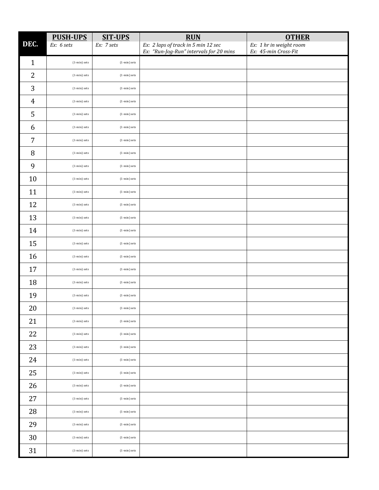|                | <b>PUSH-UPS</b>  | <b>SIT-UPS</b>        | <b>RUN</b>                                                                     | <b>OTHER</b>                                    |
|----------------|------------------|-----------------------|--------------------------------------------------------------------------------|-------------------------------------------------|
| DEC.           | Ex: 6 sets       | Ex: 7 sets            | Ex: 2 laps of track in 5 min 12 sec<br>Ex: "Run-Jog-Run" intervals for 20 mins | Ex: 1 hr in weight room<br>Ex: 45-min Cross-Fit |
| $\mathbf{1}$   | $(1 - min)$ sets | $(1 - min)$ sets      |                                                                                |                                                 |
| $\overline{2}$ | (1-min) sets     | $(1 - min)$ sets      |                                                                                |                                                 |
| 3              | (1-min) sets     | $(1 - min)$ sets      |                                                                                |                                                 |
| $\overline{4}$ | $(1 - min)$ sets | $(1 - min)$ sets      |                                                                                |                                                 |
| 5              | (1-min) sets     | $(1 - min)$ sets      |                                                                                |                                                 |
| 6              | $(1 - min)$ sets | $(1 - min)$ sets      |                                                                                |                                                 |
| $\overline{7}$ | (1-min) sets     | $(1 - min)$ sets      |                                                                                |                                                 |
| $\, 8$         | (1-min) sets     | $(1 - min)$ sets      |                                                                                |                                                 |
| 9              | $(1 - min)$ sets | $(1 - min)$ sets      |                                                                                |                                                 |
| 10             | $(1 - min)$ sets | $(1 - min)$ sets      |                                                                                |                                                 |
| 11             | (1-min) sets     | $(1 - min)$ sets      |                                                                                |                                                 |
| 12             | $(1 - min)$ sets | $(1 - min)$ sets      |                                                                                |                                                 |
| 13             | $(1 - min)$ sets | $(1 - min)$ sets      |                                                                                |                                                 |
| 14             | $(1 - min)$ sets | $(1 - min)$ sets      |                                                                                |                                                 |
| 15             | $(1 - min)$ sets | $(1 - min)$ sets      |                                                                                |                                                 |
| 16             | $(1 - min)$ sets | $(1 - min)$ sets      |                                                                                |                                                 |
| 17             | $(1 - min)$ sets | $(1 - min)$ sets      |                                                                                |                                                 |
| 18             | $(1 - min)$ sets | $(1 - min)$ sets      |                                                                                |                                                 |
| 19             | (1-min) sets     | $(1 - min)$ sets      |                                                                                |                                                 |
| 20             | $(1 - min)$ sets | $(1\text{-min})$ sets |                                                                                |                                                 |
| 21             | $(1 - min)$ sets | $(1 - min)$ sets      |                                                                                |                                                 |
| 22             | $(1 - min)$ sets | $(1 - min)$ sets      |                                                                                |                                                 |
| 23             | $(1 - min)$ sets | $(1 - min)$ sets      |                                                                                |                                                 |
| 24             | $(1 - min)$ sets | $(1 - min)$ sets      |                                                                                |                                                 |
| 25             | (1-min) sets     | $(1 - min)$ sets      |                                                                                |                                                 |
| 26             | $(1 - min)$ sets | $(1 - min)$ sets      |                                                                                |                                                 |
| $27\,$         | $(1 - min)$ sets | $(1 - min)$ sets      |                                                                                |                                                 |
| 28             | (1-min) sets     | $(1 - min)$ sets      |                                                                                |                                                 |
| 29             | $(1 - min)$ sets | $(1 - min)$ sets      |                                                                                |                                                 |
| $30\,$         | $(1 - min)$ sets | $(1 - min)$ sets      |                                                                                |                                                 |
| 31             | (1-min) sets     | $(1 - min)$ sets      |                                                                                |                                                 |